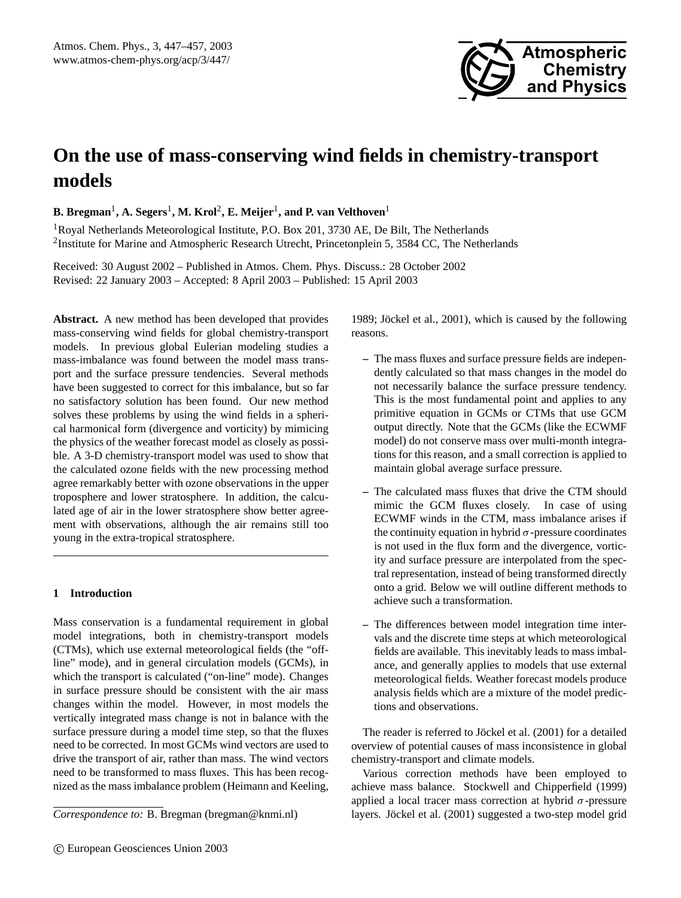

# **On the use of mass-conserving wind fields in chemistry-transport models**

 ${\bf B. Bregman}^1, {\bf A. Segers}^1, {\bf M. Krol}^2, {\bf E. Meijer}^1,$  and  ${\bf P.}$  van  ${\bf Velthoven}^1$ 

<sup>1</sup>Royal Netherlands Meteorological Institute, P.O. Box 201, 3730 AE, De Bilt, The Netherlands <sup>2</sup>Institute for Marine and Atmospheric Research Utrecht, Princetonplein 5, 3584 CC, The Netherlands

Received: 30 August 2002 – Published in Atmos. Chem. Phys. Discuss.: 28 October 2002 Revised: 22 January 2003 – Accepted: 8 April 2003 – Published: 15 April 2003

**Abstract.** A new method has been developed that provides mass-conserving wind fields for global chemistry-transport models. In previous global Eulerian modeling studies a mass-imbalance was found between the model mass transport and the surface pressure tendencies. Several methods have been suggested to correct for this imbalance, but so far no satisfactory solution has been found. Our new method solves these problems by using the wind fields in a spherical harmonical form (divergence and vorticity) by mimicing the physics of the weather forecast model as closely as possible. A 3-D chemistry-transport model was used to show that the calculated ozone fields with the new processing method agree remarkably better with ozone observations in the upper troposphere and lower stratosphere. In addition, the calculated age of air in the lower stratosphere show better agreement with observations, although the air remains still too young in the extra-tropical stratosphere.

# **1 Introduction**

Mass conservation is a fundamental requirement in global model integrations, both in chemistry-transport models (CTMs), which use external meteorological fields (the "offline" mode), and in general circulation models (GCMs), in which the transport is calculated ("on-line" mode). Changes in surface pressure should be consistent with the air mass changes within the model. However, in most models the vertically integrated mass change is not in balance with the surface pressure during a model time step, so that the fluxes need to be corrected. In most GCMs wind vectors are used to drive the transport of air, rather than mass. The wind vectors need to be transformed to mass fluxes. This has been recognized as the mass imbalance problem (Heimann and Keeling,

1989; Jöckel et al., 2001), which is caused by the following reasons.

- **–** The mass fluxes and surface pressure fields are independently calculated so that mass changes in the model do not necessarily balance the surface pressure tendency. This is the most fundamental point and applies to any primitive equation in GCMs or CTMs that use GCM output directly. Note that the GCMs (like the ECWMF model) do not conserve mass over multi-month integrations for this reason, and a small correction is applied to maintain global average surface pressure.
- **–** The calculated mass fluxes that drive the CTM should mimic the GCM fluxes closely. In case of using ECWMF winds in the CTM, mass imbalance arises if the continuity equation in hybrid  $\sigma$ -pressure coordinates is not used in the flux form and the divergence, vorticity and surface pressure are interpolated from the spectral representation, instead of being transformed directly onto a grid. Below we will outline different methods to achieve such a transformation.
- **–** The differences between model integration time intervals and the discrete time steps at which meteorological fields are available. This inevitably leads to mass imbalance, and generally applies to models that use external meteorological fields. Weather forecast models produce analysis fields which are a mixture of the model predictions and observations.

The reader is referred to Jöckel et al. (2001) for a detailed overview of potential causes of mass inconsistence in global chemistry-transport and climate models.

Various correction methods have been employed to achieve mass balance. Stockwell and Chipperfield (1999) applied a local tracer mass correction at hybrid  $\sigma$ -pressure layers. Jöckel et al. (2001) suggested a two-step model grid

*Correspondence to:* B. Bregman (bregman@knmi.nl)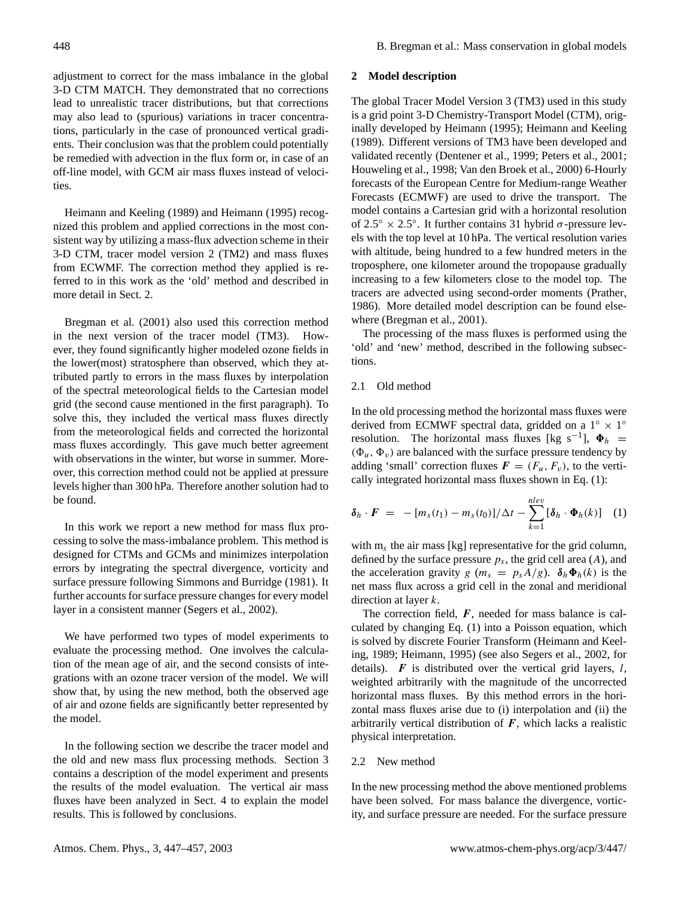adjustment to correct for the mass imbalance in the global 3-D CTM MATCH. They demonstrated that no corrections lead to unrealistic tracer distributions, but that corrections may also lead to (spurious) variations in tracer concentrations, particularly in the case of pronounced vertical gradients. Their conclusion was that the problem could potentially be remedied with advection in the flux form or, in case of an off-line model, with GCM air mass fluxes instead of velocities.

Heimann and Keeling (1989) and Heimann (1995) recognized this problem and applied corrections in the most consistent way by utilizing a mass-flux advection scheme in their 3-D CTM, tracer model version 2 (TM2) and mass fluxes from ECWMF. The correction method they applied is referred to in this work as the 'old' method and described in more detail in Sect. 2.

Bregman et al. (2001) also used this correction method in the next version of the tracer model (TM3). However, they found significantly higher modeled ozone fields in the lower(most) stratosphere than observed, which they attributed partly to errors in the mass fluxes by interpolation of the spectral meteorological fields to the Cartesian model grid (the second cause mentioned in the first paragraph). To solve this, they included the vertical mass fluxes directly from the meteorological fields and corrected the horizontal mass fluxes accordingly. This gave much better agreement with observations in the winter, but worse in summer. Moreover, this correction method could not be applied at pressure levels higher than 300 hPa. Therefore another solution had to be found.

In this work we report a new method for mass flux processing to solve the mass-imbalance problem. This method is designed for CTMs and GCMs and minimizes interpolation errors by integrating the spectral divergence, vorticity and surface pressure following Simmons and Burridge (1981). It further accounts for surface pressure changes for every model layer in a consistent manner (Segers et al., 2002).

We have performed two types of model experiments to evaluate the processing method. One involves the calculation of the mean age of air, and the second consists of integrations with an ozone tracer version of the model. We will show that, by using the new method, both the observed age of air and ozone fields are significantly better represented by the model.

In the following section we describe the tracer model and the old and new mass flux processing methods. Section 3 contains a description of the model experiment and presents the results of the model evaluation. The vertical air mass fluxes have been analyzed in Sect. 4 to explain the model results. This is followed by conclusions.

#### **2 Model description**

The global Tracer Model Version 3 (TM3) used in this study is a grid point 3-D Chemistry-Transport Model (CTM), originally developed by Heimann (1995); Heimann and Keeling (1989). Different versions of TM3 have been developed and validated recently (Dentener et al., 1999; Peters et al., 2001; Houweling et al., 1998; Van den Broek et al., 2000) 6-Hourly forecasts of the European Centre for Medium-range Weather Forecasts (ECMWF) are used to drive the transport. The model contains a Cartesian grid with a horizontal resolution of 2.5° × 2.5°. It further contains 31 hybrid  $\sigma$ -pressure levels with the top level at 10 hPa. The vertical resolution varies with altitude, being hundred to a few hundred meters in the troposphere, one kilometer around the tropopause gradually increasing to a few kilometers close to the model top. The tracers are advected using second-order moments (Prather, 1986). More detailed model description can be found elsewhere (Bregman et al., 2001).

The processing of the mass fluxes is performed using the 'old' and 'new' method, described in the following subsections.

# 2.1 Old method

In the old processing method the horizontal mass fluxes were derived from ECMWF spectral data, gridded on a  $1° \times 1°$ resolution. The horizontal mass fluxes [kg s<sup>-1</sup>],  $\Phi_h$  =  $(\Phi_u, \Phi_v)$  are balanced with the surface pressure tendency by adding 'small' correction fluxes  $\mathbf{F} = (F_u, F_v)$ , to the vertically integrated horizontal mass fluxes shown in Eq. (1):

$$
\delta_h \cdot \boldsymbol{F} = -[m_s(t_1) - m_s(t_0)]/\Delta t - \sum_{k=1}^{nlev} [\delta_h \cdot \boldsymbol{\Phi}_h(k)] \quad (1)
$$

with  $m_s$  the air mass [kg] representative for the grid column, defined by the surface pressure  $p_s$ , the grid cell area  $(A)$ , and the acceleration gravity g ( $m_s = p_s A/g$ ).  $\delta_h \Phi_h(k)$  is the net mass flux across a grid cell in the zonal and meridional direction at layer k.

The correction field,  $F$ , needed for mass balance is calculated by changing Eq. (1) into a Poisson equation, which is solved by discrete Fourier Transform (Heimann and Keeling, 1989; Heimann, 1995) (see also Segers et al., 2002, for details).  $\boldsymbol{F}$  is distributed over the vertical grid layers,  $\boldsymbol{l}$ , weighted arbitrarily with the magnitude of the uncorrected horizontal mass fluxes. By this method errors in the horizontal mass fluxes arise due to (i) interpolation and (ii) the arbitrarily vertical distribution of  $F$ , which lacks a realistic physical interpretation.

## 2.2 New method

In the new processing method the above mentioned problems have been solved. For mass balance the divergence, vorticity, and surface pressure are needed. For the surface pressure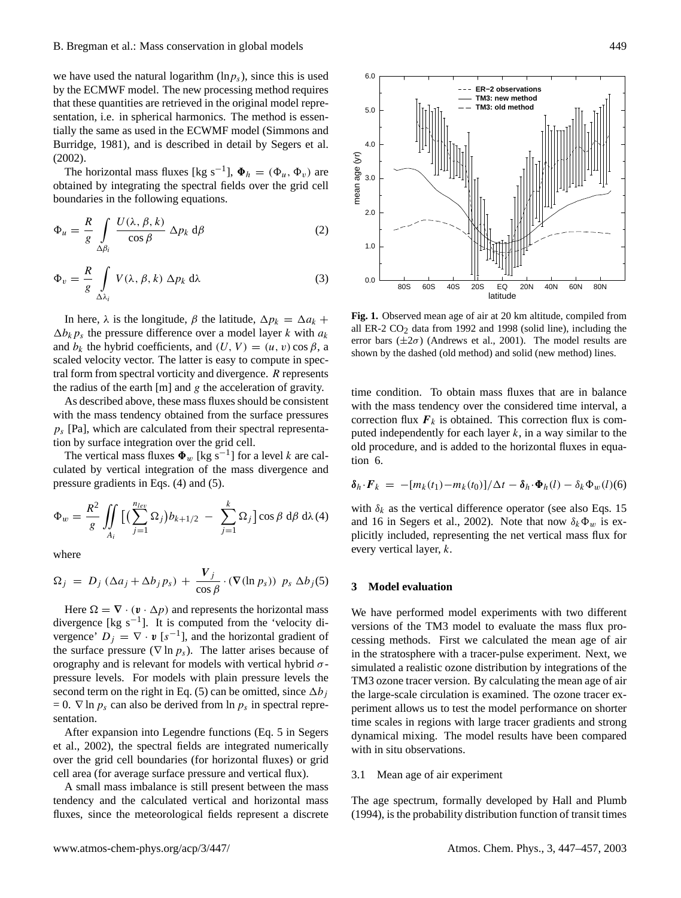# B. Bregman et al.: Mass conservation in global models 449

we have used the natural logarithm  $(\ln p_s)$ , since this is used by the ECMWF model. The new processing method requires that these quantities are retrieved in the original model representation, i.e. in spherical harmonics. The method is essentially the same as used in the ECWMF model (Simmons and Burridge, 1981), and is described in detail by Segers et al. (2002).

The horizontal mass fluxes [kg s<sup>-1</sup>],  $\Phi_h = (\Phi_u, \Phi_v)$  are obtained by integrating the spectral fields over the grid cell boundaries in the following equations.

$$
\Phi_u = \frac{R}{g} \int\limits_{\Delta\beta_i} \frac{U(\lambda, \beta, k)}{\cos \beta} \Delta p_k \, d\beta \tag{2}
$$

$$
\Phi_v = \frac{R}{g} \int\limits_{\Delta\lambda_i} V(\lambda, \beta, k) \Delta p_k \, d\lambda \tag{3}
$$

In here,  $\lambda$  is the longitude,  $\beta$  the latitude,  $\Delta p_k = \Delta a_k +$  $\Delta b_k p_s$  the pressure difference over a model layer k with  $a_k$ and  $b_k$  the hybrid coefficients, and  $(U, V) = (u, v) \cos \beta$ , a scaled velocity vector. The latter is easy to compute in spectral form from spectral vorticity and divergence.  $R$  represents the radius of the earth  $[m]$  and g the acceleration of gravity.

As described above, these mass fluxes should be consistent with the mass tendency obtained from the surface pressures  $p_s$  [Pa], which are calculated from their spectral representation by surface integration over the grid cell.

The vertical mass fluxes  $\Phi_w$  [kg s<sup>-1</sup>] for a level k are calculated by vertical integration of the mass divergence and pressure gradients in Eqs. (4) and (5).

$$
\Phi_w = \frac{R^2}{g} \iint\limits_{A_i} \left[ \left( \sum_{j=1}^{n_{lev}} \Omega_j \right) b_{k+1/2} - \sum_{j=1}^k \Omega_j \right] \cos \beta \, d\beta \, d\lambda \, (4)
$$

where

$$
\Omega_j = D_j \left( \Delta a_j + \Delta b_j p_s \right) + \frac{V_j}{\cos \beta} \cdot (\nabla (\ln p_s)) p_s \Delta b_j(5)
$$

Here  $\Omega = \nabla \cdot (\mathbf{v} \cdot \Delta p)$  and represents the horizontal mass divergence [kg s−<sup>1</sup> ]. It is computed from the 'velocity divergence'  $D_j = \nabla \cdot \mathbf{v}$  [s<sup>-1</sup>], and the horizontal gradient of the surface pressure ( $\nabla$  ln  $p_s$ ). The latter arises because of orography and is relevant for models with vertical hybrid  $\sigma$ pressure levels. For models with plain pressure levels the second term on the right in Eq. (5) can be omitted, since  $\Delta b_i$  $= 0$ .  $\nabla$  ln  $p_s$  can also be derived from ln  $p_s$  in spectral representation.

After expansion into Legendre functions (Eq. 5 in Segers et al., 2002), the spectral fields are integrated numerically over the grid cell boundaries (for horizontal fluxes) or grid cell area (for average surface pressure and vertical flux).

A small mass imbalance is still present between the mass tendency and the calculated vertical and horizontal mass fluxes, since the meteorological fields represent a discrete



**Fig. 1.** Observed mean age of air at 20 km altitude, compiled from all ER-2  $CO<sub>2</sub>$  data from 1992 and 1998 (solid line), including the error bars  $(\pm 2\sigma)$  (Andrews et al., 2001). The model results are shown by the dashed (old method) and solid (new method) lines.

time condition. To obtain mass fluxes that are in balance with the mass tendency over the considered time interval, a correction flux  $F_k$  is obtained. This correction flux is computed independently for each layer  $k$ , in a way similar to the old procedure, and is added to the horizontal fluxes in equation 6.

$$
\delta_h \cdot \boldsymbol{F}_k \ = \ -[m_k(t_1) - m_k(t_0)]/\Delta t - \delta_h \cdot \boldsymbol{\Phi}_h(l) - \delta_k \boldsymbol{\Phi}_w(l)(6)
$$

with  $\delta_k$  as the vertical difference operator (see also Eqs. 15 and 16 in Segers et al., 2002). Note that now  $\delta_k \Phi_w$  is explicitly included, representing the net vertical mass flux for every vertical layer, k.

#### **3 Model evaluation**

We have performed model experiments with two different versions of the TM3 model to evaluate the mass flux processing methods. First we calculated the mean age of air in the stratosphere with a tracer-pulse experiment. Next, we simulated a realistic ozone distribution by integrations of the TM3 ozone tracer version. By calculating the mean age of air the large-scale circulation is examined. The ozone tracer experiment allows us to test the model performance on shorter time scales in regions with large tracer gradients and strong dynamical mixing. The model results have been compared with in situ observations.

#### 3.1 Mean age of air experiment

The age spectrum, formally developed by Hall and Plumb (1994), is the probability distribution function of transit times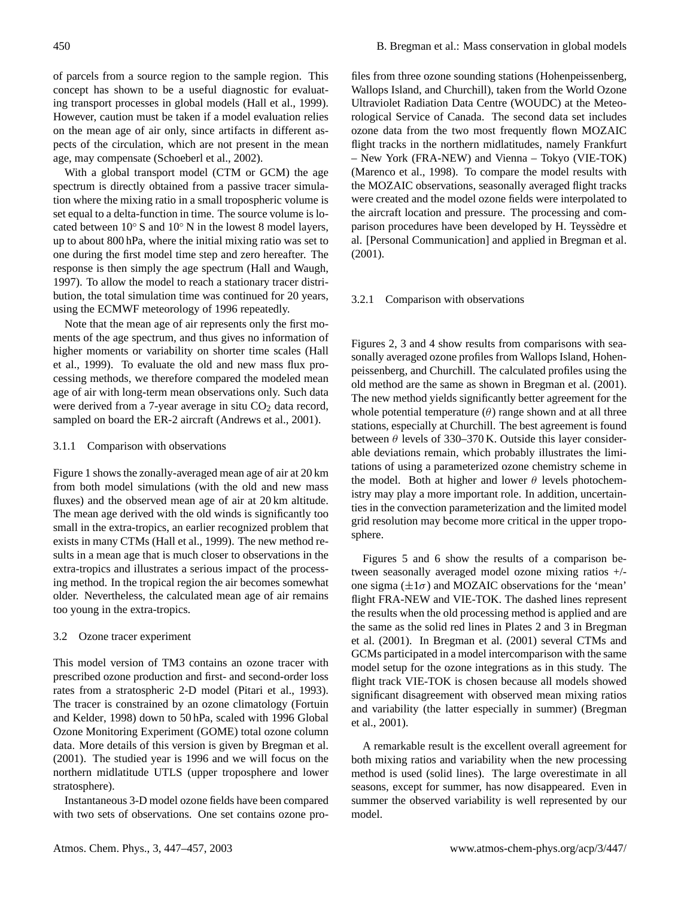of parcels from a source region to the sample region. This concept has shown to be a useful diagnostic for evaluating transport processes in global models (Hall et al., 1999). However, caution must be taken if a model evaluation relies on the mean age of air only, since artifacts in different aspects of the circulation, which are not present in the mean age, may compensate (Schoeberl et al., 2002).

With a global transport model (CTM or GCM) the age spectrum is directly obtained from a passive tracer simulation where the mixing ratio in a small tropospheric volume is set equal to a delta-function in time. The source volume is located between 10◦ S and 10◦ N in the lowest 8 model layers, up to about 800 hPa, where the initial mixing ratio was set to one during the first model time step and zero hereafter. The response is then simply the age spectrum (Hall and Waugh, 1997). To allow the model to reach a stationary tracer distribution, the total simulation time was continued for 20 years, using the ECMWF meteorology of 1996 repeatedly.

Note that the mean age of air represents only the first moments of the age spectrum, and thus gives no information of higher moments or variability on shorter time scales (Hall et al., 1999). To evaluate the old and new mass flux processing methods, we therefore compared the modeled mean age of air with long-term mean observations only. Such data were derived from a 7-year average in situ  $CO<sub>2</sub>$  data record, sampled on board the ER-2 aircraft (Andrews et al., 2001).

## 3.1.1 Comparison with observations

Figure 1 shows the zonally-averaged mean age of air at 20 km from both model simulations (with the old and new mass fluxes) and the observed mean age of air at 20 km altitude. The mean age derived with the old winds is significantly too small in the extra-tropics, an earlier recognized problem that exists in many CTMs (Hall et al., 1999). The new method results in a mean age that is much closer to observations in the extra-tropics and illustrates a serious impact of the processing method. In the tropical region the air becomes somewhat older. Nevertheless, the calculated mean age of air remains too young in the extra-tropics.

#### 3.2 Ozone tracer experiment

This model version of TM3 contains an ozone tracer with prescribed ozone production and first- and second-order loss rates from a stratospheric 2-D model (Pitari et al., 1993). The tracer is constrained by an ozone climatology (Fortuin and Kelder, 1998) down to 50 hPa, scaled with 1996 Global Ozone Monitoring Experiment (GOME) total ozone column data. More details of this version is given by Bregman et al. (2001). The studied year is 1996 and we will focus on the northern midlatitude UTLS (upper troposphere and lower stratosphere).

Instantaneous 3-D model ozone fields have been compared with two sets of observations. One set contains ozone pro-

files from three ozone sounding stations (Hohenpeissenberg, Wallops Island, and Churchill), taken from the World Ozone Ultraviolet Radiation Data Centre (WOUDC) at the Meteorological Service of Canada. The second data set includes ozone data from the two most frequently flown MOZAIC flight tracks in the northern midlatitudes, namely Frankfurt – New York (FRA-NEW) and Vienna – Tokyo (VIE-TOK) (Marenco et al., 1998). To compare the model results with the MOZAIC observations, seasonally averaged flight tracks were created and the model ozone fields were interpolated to the aircraft location and pressure. The processing and comparison procedures have been developed by H. Teyssedre et ` al. [Personal Communication] and applied in Bregman et al. (2001).

#### 3.2.1 Comparison with observations

Figures 2, 3 and 4 show results from comparisons with seasonally averaged ozone profiles from Wallops Island, Hohenpeissenberg, and Churchill. The calculated profiles using the old method are the same as shown in Bregman et al. (2001). The new method yields significantly better agreement for the whole potential temperature  $(\theta)$  range shown and at all three stations, especially at Churchill. The best agreement is found between  $\theta$  levels of 330–370 K. Outside this layer considerable deviations remain, which probably illustrates the limitations of using a parameterized ozone chemistry scheme in the model. Both at higher and lower  $\theta$  levels photochemistry may play a more important role. In addition, uncertainties in the convection parameterization and the limited model grid resolution may become more critical in the upper troposphere.

Figures 5 and 6 show the results of a comparison between seasonally averaged model ozone mixing ratios +/ one sigma  $(\pm 1\sigma)$  and MOZAIC observations for the 'mean' flight FRA-NEW and VIE-TOK. The dashed lines represent the results when the old processing method is applied and are the same as the solid red lines in Plates 2 and 3 in Bregman et al. (2001). In Bregman et al. (2001) several CTMs and GCMs participated in a model intercomparison with the same model setup for the ozone integrations as in this study. The flight track VIE-TOK is chosen because all models showed significant disagreement with observed mean mixing ratios and variability (the latter especially in summer) (Bregman et al., 2001).

A remarkable result is the excellent overall agreement for both mixing ratios and variability when the new processing method is used (solid lines). The large overestimate in all seasons, except for summer, has now disappeared. Even in summer the observed variability is well represented by our model.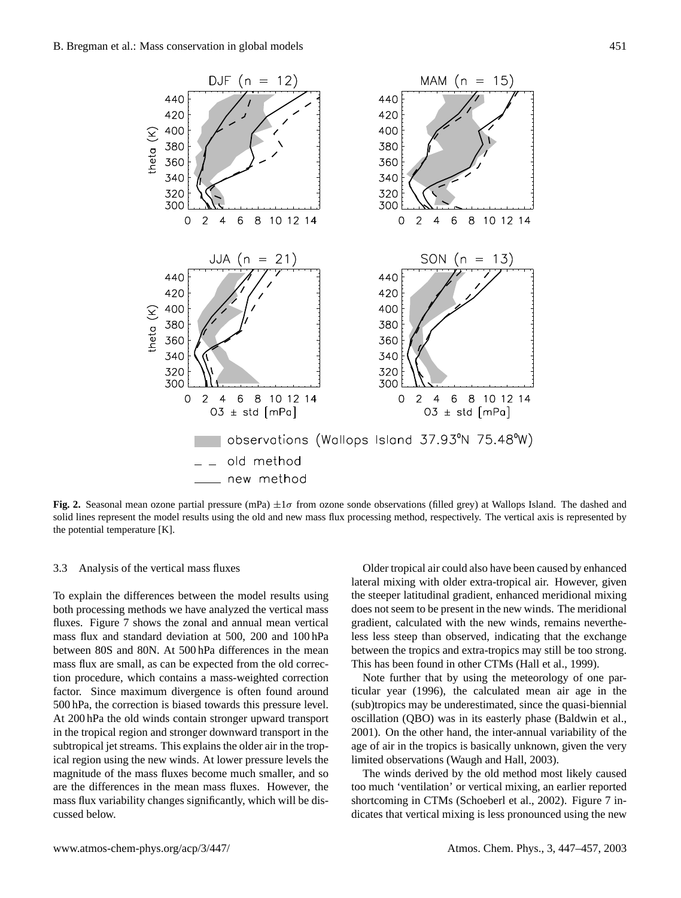

**Fig. 2.** Seasonal mean ozone partial pressure (mPa)  $\pm 1\sigma$  from ozone sonde observations (filled grey) at Wallops Island. The dashed and solid lines represent the model results using the old and new mass flux processing method, respectively. The vertical axis is represented by the potential temperature [K].

## 3.3 Analysis of the vertical mass fluxes

To explain the differences between the model results using both processing methods we have analyzed the vertical mass fluxes. Figure 7 shows the zonal and annual mean vertical mass flux and standard deviation at 500, 200 and 100 hPa between 80S and 80N. At 500 hPa differences in the mean mass flux are small, as can be expected from the old correction procedure, which contains a mass-weighted correction factor. Since maximum divergence is often found around 500 hPa, the correction is biased towards this pressure level. At 200 hPa the old winds contain stronger upward transport in the tropical region and stronger downward transport in the subtropical jet streams. This explains the older air in the tropical region using the new winds. At lower pressure levels the magnitude of the mass fluxes become much smaller, and so are the differences in the mean mass fluxes. However, the mass flux variability changes significantly, which will be discussed below.

Older tropical air could also have been caused by enhanced lateral mixing with older extra-tropical air. However, given the steeper latitudinal gradient, enhanced meridional mixing does not seem to be present in the new winds. The meridional gradient, calculated with the new winds, remains nevertheless less steep than observed, indicating that the exchange between the tropics and extra-tropics may still be too strong. This has been found in other CTMs (Hall et al., 1999).

Note further that by using the meteorology of one particular year (1996), the calculated mean air age in the (sub)tropics may be underestimated, since the quasi-biennial oscillation (QBO) was in its easterly phase (Baldwin et al., 2001). On the other hand, the inter-annual variability of the age of air in the tropics is basically unknown, given the very limited observations (Waugh and Hall, 2003).

The winds derived by the old method most likely caused too much 'ventilation' or vertical mixing, an earlier reported shortcoming in CTMs (Schoeberl et al., 2002). Figure 7 indicates that vertical mixing is less pronounced using the new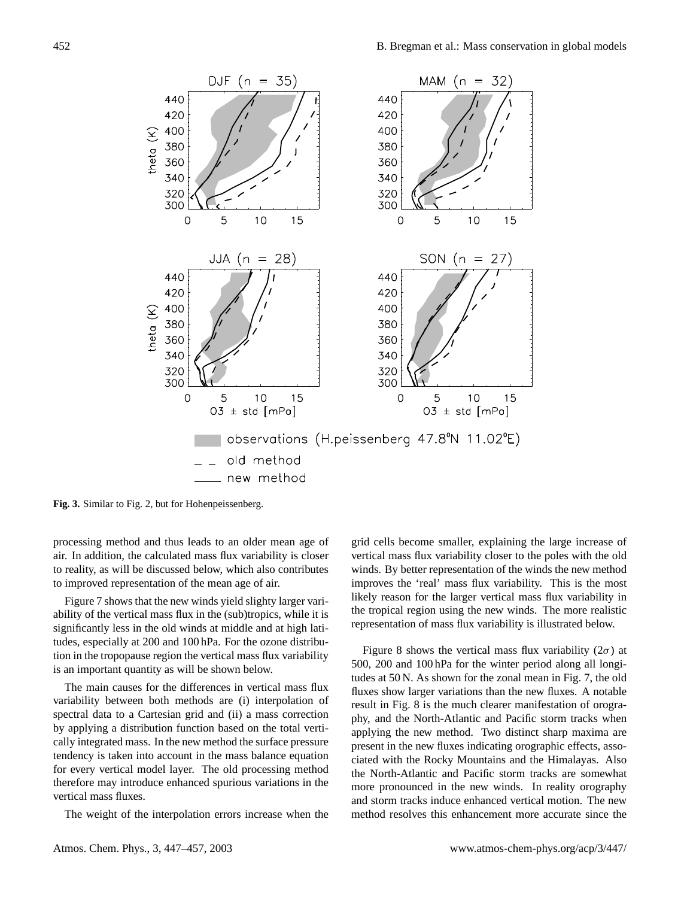

**Fig. 3.** Similar to Fig. 2, but for Hohenpeissenberg.

processing method and thus leads to an older mean age of air. In addition, the calculated mass flux variability is closer to reality, as will be discussed below, which also contributes to improved representation of the mean age of air.

Figure 7 shows that the new winds yield slighty larger variability of the vertical mass flux in the (sub)tropics, while it is significantly less in the old winds at middle and at high latitudes, especially at 200 and 100 hPa. For the ozone distribution in the tropopause region the vertical mass flux variability is an important quantity as will be shown below.

The main causes for the differences in vertical mass flux variability between both methods are (i) interpolation of spectral data to a Cartesian grid and (ii) a mass correction by applying a distribution function based on the total vertically integrated mass. In the new method the surface pressure tendency is taken into account in the mass balance equation for every vertical model layer. The old processing method therefore may introduce enhanced spurious variations in the vertical mass fluxes.

The weight of the interpolation errors increase when the

grid cells become smaller, explaining the large increase of vertical mass flux variability closer to the poles with the old winds. By better representation of the winds the new method improves the 'real' mass flux variability. This is the most likely reason for the larger vertical mass flux variability in the tropical region using the new winds. The more realistic representation of mass flux variability is illustrated below.

Figure 8 shows the vertical mass flux variability ( $2\sigma$ ) at 500, 200 and 100 hPa for the winter period along all longitudes at 50 N. As shown for the zonal mean in Fig. 7, the old fluxes show larger variations than the new fluxes. A notable result in Fig. 8 is the much clearer manifestation of orography, and the North-Atlantic and Pacific storm tracks when applying the new method. Two distinct sharp maxima are present in the new fluxes indicating orographic effects, associated with the Rocky Mountains and the Himalayas. Also the North-Atlantic and Pacific storm tracks are somewhat more pronounced in the new winds. In reality orography and storm tracks induce enhanced vertical motion. The new method resolves this enhancement more accurate since the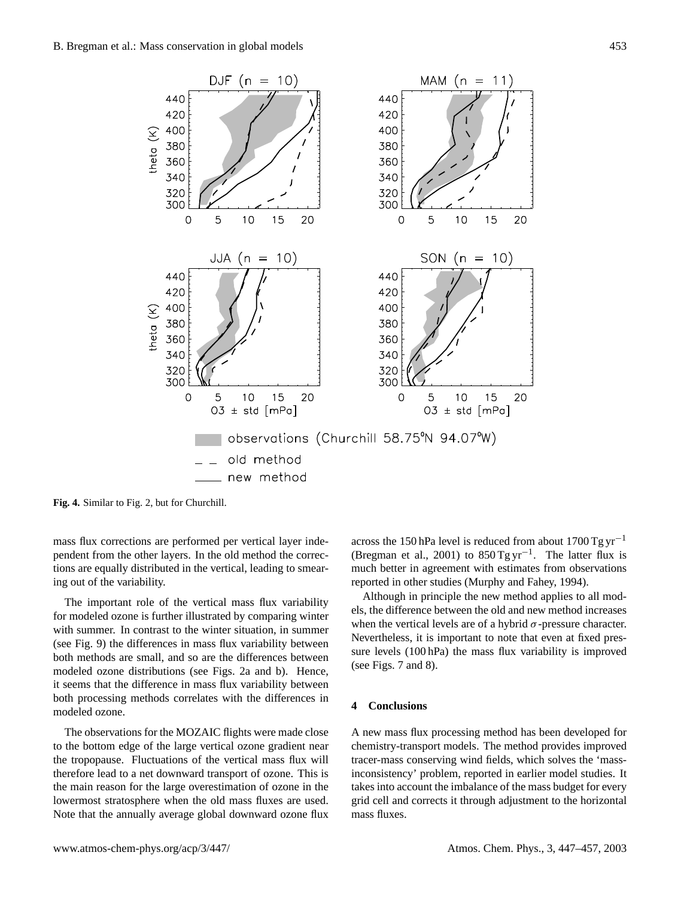

**Fig. 4.** Similar to Fig. 2, but for Churchill.

mass flux corrections are performed per vertical layer independent from the other layers. In the old method the corrections are equally distributed in the vertical, leading to smearing out of the variability.

The important role of the vertical mass flux variability for modeled ozone is further illustrated by comparing winter with summer. In contrast to the winter situation, in summer (see Fig. 9) the differences in mass flux variability between both methods are small, and so are the differences between modeled ozone distributions (see Figs. 2a and b). Hence, it seems that the difference in mass flux variability between both processing methods correlates with the differences in modeled ozone.

The observations for the MOZAIC flights were made close to the bottom edge of the large vertical ozone gradient near the tropopause. Fluctuations of the vertical mass flux will therefore lead to a net downward transport of ozone. This is the main reason for the large overestimation of ozone in the lowermost stratosphere when the old mass fluxes are used. Note that the annually average global downward ozone flux

across the 150 hPa level is reduced from about  $1700$  Tg yr<sup>-1</sup> (Bregman et al., 2001) to  $850$  Tg yr<sup>-1</sup>. The latter flux is much better in agreement with estimates from observations reported in other studies (Murphy and Fahey, 1994).

Although in principle the new method applies to all models, the difference between the old and new method increases when the vertical levels are of a hybrid  $\sigma$ -pressure character. Nevertheless, it is important to note that even at fixed pressure levels (100 hPa) the mass flux variability is improved (see Figs. 7 and 8).

## **4 Conclusions**

A new mass flux processing method has been developed for chemistry-transport models. The method provides improved tracer-mass conserving wind fields, which solves the 'massinconsistency' problem, reported in earlier model studies. It takes into account the imbalance of the mass budget for every grid cell and corrects it through adjustment to the horizontal mass fluxes.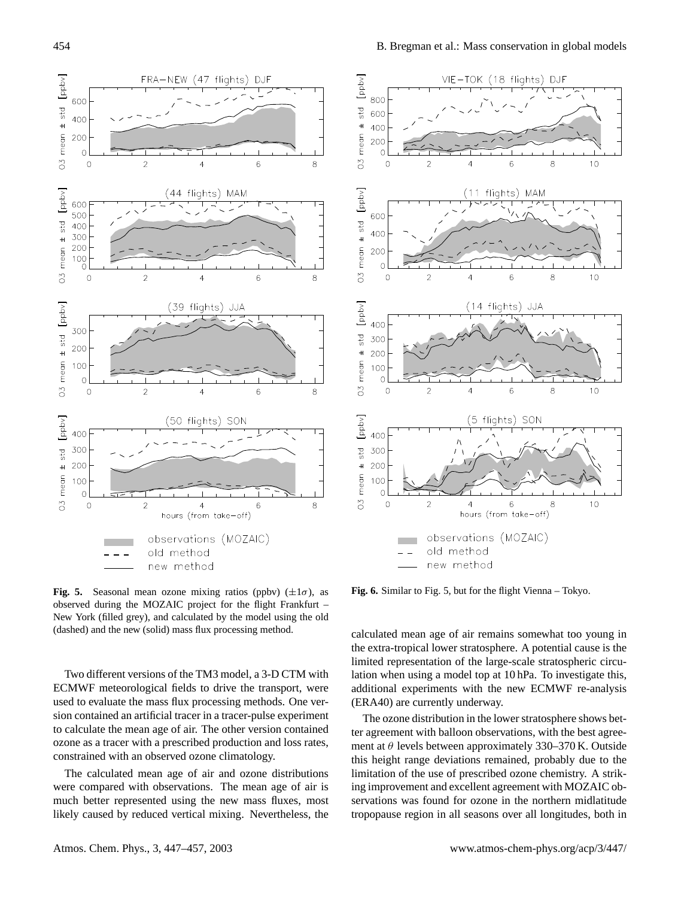

**Fig. 5.** Seasonal mean ozone mixing ratios (ppbv)  $(\pm 1\sigma)$ , as observed during the MOZAIC project for the flight Frankfurt – New York (filled grey), and calculated by the model using the old (dashed) and the new (solid) mass flux processing method.

Two different versions of the TM3 model, a 3-D CTM with ECMWF meteorological fields to drive the transport, were used to evaluate the mass flux processing methods. One version contained an artificial tracer in a tracer-pulse experiment to calculate the mean age of air. The other version contained ozone as a tracer with a prescribed production and loss rates, constrained with an observed ozone climatology.

The calculated mean age of air and ozone distributions were compared with observations. The mean age of air is much better represented using the new mass fluxes, most likely caused by reduced vertical mixing. Nevertheless, the



**Fig. 6.** Similar to Fig. 5, but for the flight Vienna – Tokyo.

calculated mean age of air remains somewhat too young in the extra-tropical lower stratosphere. A potential cause is the limited representation of the large-scale stratospheric circulation when using a model top at 10 hPa. To investigate this, additional experiments with the new ECMWF re-analysis (ERA40) are currently underway.

The ozone distribution in the lower stratosphere shows better agreement with balloon observations, with the best agreement at  $\theta$  levels between approximately 330–370 K. Outside this height range deviations remained, probably due to the limitation of the use of prescribed ozone chemistry. A striking improvement and excellent agreement with MOZAIC observations was found for ozone in the northern midlatitude tropopause region in all seasons over all longitudes, both in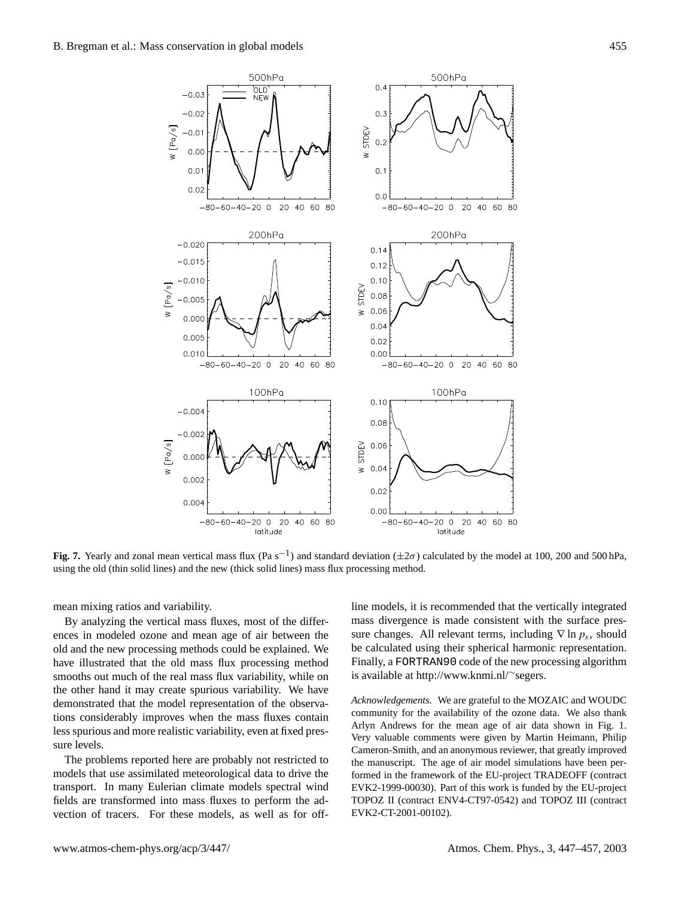$N$  [Po/s]

 $-0.03$ 

 $-0.02$ 

 $-0.0$ 

 $0.00$  $0.0$ 

 $0.02$ 

500hPa

OLD

**NFW** 





 $0.4$ 

 $0.\overline{3}$ 

 $0.2$ 

 $0.1$ 

W STDEV

**Fig. 7.** Yearly and zonal mean vertical mass flux (Pa s<sup>-1</sup>) and standard deviation ( $\pm 2\sigma$ ) calculated by the model at 100, 200 and 500 hPa, using the old (thin solid lines) and the new (thick solid lines) mass flux processing method.

mean mixing ratios and variability.

By analyzing the vertical mass fluxes, most of the differences in modeled ozone and mean age of air between the old and the new processing methods could be explained. We have illustrated that the old mass flux processing method smooths out much of the real mass flux variability, while on the other hand it may create spurious variability. We have demonstrated that the model representation of the observations considerably improves when the mass fluxes contain less spurious and more realistic variability, even at fixed pressure levels.

The problems reported here are probably not restricted to models that use assimilated meteorological data to drive the transport. In many Eulerian climate models spectral wind fields are transformed into mass fluxes to perform the advection of tracers. For these models, as well as for offline models, it is recommended that the vertically integrated mass divergence is made consistent with the surface pressure changes. All relevant terms, including  $\nabla$  ln  $p_s$ , should be calculated using their spherical harmonic representation. Finally, a FORTRAN90 code of the new processing algorithm is available at http://www.knmi.nl/∼segers.

*Acknowledgements.* We are grateful to the MOZAIC and WOUDC community for the availability of the ozone data. We also thank Arlyn Andrews for the mean age of air data shown in Fig. 1. Very valuable comments were given by Martin Heimann, Philip Cameron-Smith, and an anonymous reviewer, that greatly improved the manuscript. The age of air model simulations have been performed in the framework of the EU-project TRADEOFF (contract EVK2-1999-00030). Part of this work is funded by the EU-project TOPOZ II (contract ENV4-CT97-0542) and TOPOZ III (contract EVK2-CT-2001-00102).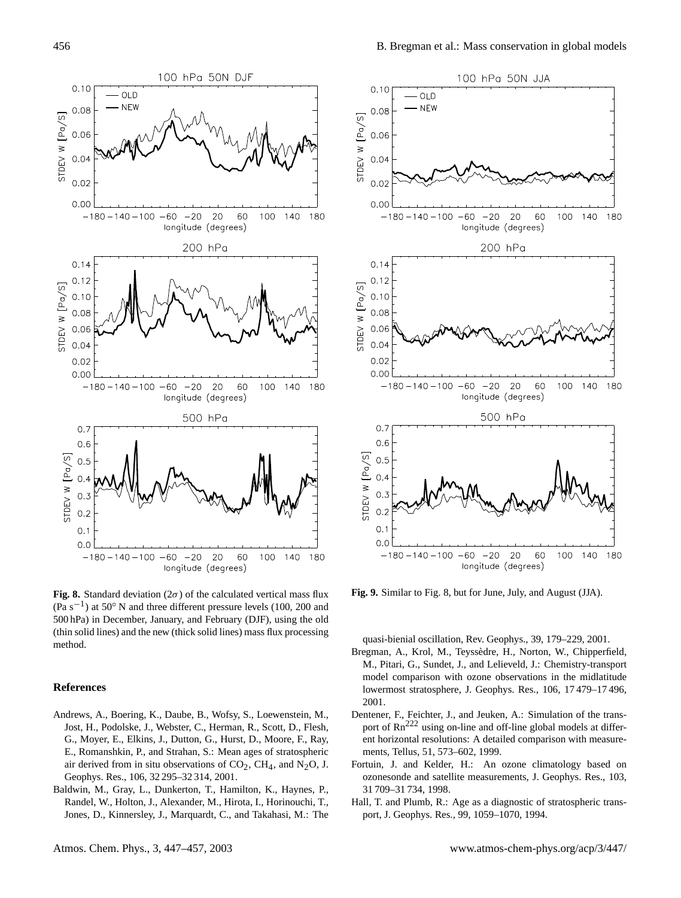

**Fig. 8.** Standard deviation ( $2\sigma$ ) of the calculated vertical mass flux (Pa s−<sup>1</sup> ) at 50◦ N and three different pressure levels (100, 200 and 500 hPa) in December, January, and February (DJF), using the old (thin solid lines) and the new (thick solid lines) mass flux processing method.

#### **References**

- Andrews, A., Boering, K., Daube, B., Wofsy, S., Loewenstein, M., Jost, H., Podolske, J., Webster, C., Herman, R., Scott, D., Flesh, G., Moyer, E., Elkins, J., Dutton, G., Hurst, D., Moore, F., Ray, E., Romanshkin, P., and Strahan, S.: Mean ages of stratospheric air derived from in situ observations of  $CO<sub>2</sub>$ , CH<sub>4</sub>, and N<sub>2</sub>O, J. Geophys. Res., 106, 32 295–32 314, 2001.
- Baldwin, M., Gray, L., Dunkerton, T., Hamilton, K., Haynes, P., Randel, W., Holton, J., Alexander, M., Hirota, I., Horinouchi, T., Jones, D., Kinnersley, J., Marquardt, C., and Takahasi, M.: The



**Fig. 9.** Similar to Fig. 8, but for June, July, and August (JJA).

quasi-bienial oscillation, Rev. Geophys., 39, 179–229, 2001.

- Bregman, A., Krol, M., Teyssedre, H., Norton, W., Chipperfield, ` M., Pitari, G., Sundet, J., and Lelieveld, J.: Chemistry-transport model comparison with ozone observations in the midlatitude lowermost stratosphere, J. Geophys. Res., 106, 17 479–17 496, 2001.
- Dentener, F., Feichter, J., and Jeuken, A.: Simulation of the transport of Rn<sup>222</sup> using on-line and off-line global models at different horizontal resolutions: A detailed comparison with measurements, Tellus, 51, 573–602, 1999.
- Fortuin, J. and Kelder, H.: An ozone climatology based on ozonesonde and satellite measurements, J. Geophys. Res., 103, 31 709–31 734, 1998.
- Hall, T. and Plumb, R.: Age as a diagnostic of stratospheric transport, J. Geophys. Res., 99, 1059–1070, 1994.